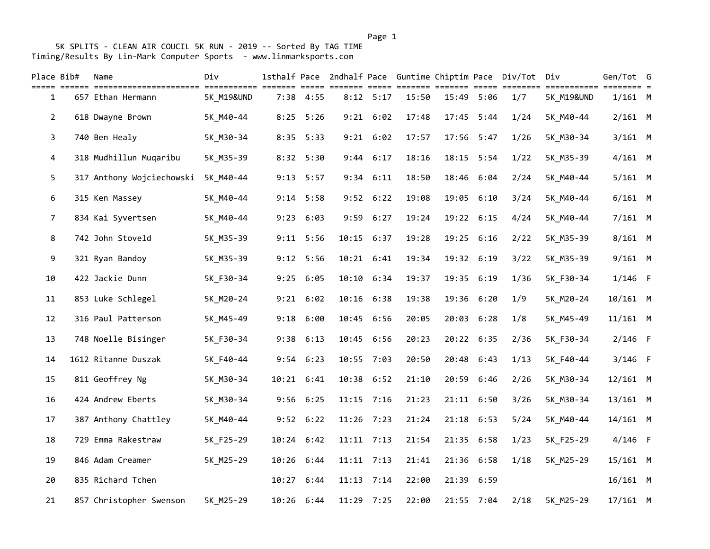| Place Bib#     | Name                      | Div                   | 1sthalf Pace |                      | 2ndhalf Pace Guntime Chiptim Pace |                      |                         |       |            | Div/Tot                       | Div        | Gen/Tot G  |        |
|----------------|---------------------------|-----------------------|--------------|----------------------|-----------------------------------|----------------------|-------------------------|-------|------------|-------------------------------|------------|------------|--------|
| 1              | 657 Ethan Hermann         | <b>5K M19&amp;UND</b> |              | $=====$<br>7:38 4:55 | $=$ $=$ $=$ $=$ $=$               | =====<br>$8:12$ 5:17 | <b>EEEEEEE</b><br>15:50 |       | 15:49 5:06 | ======= ===== ========<br>1/7 | 5K_M19&UND | $1/161$ M  | $== =$ |
| $\overline{2}$ | 618 Dwayne Brown          | 5K M40-44             |              | $8:25$ 5:26          |                                   | $9:21$ $6:02$        | 17:48                   |       | 17:45 5:44 | 1/24                          | 5K M40-44  | $2/161$ M  |        |
| 3              | 740 Ben Healy             | 5K_M30-34             |              | 8:35 5:33            |                                   | $9:21$ $6:02$        | 17:57                   |       | 17:56 5:47 | 1/26                          | 5K_M30-34  | $3/161$ M  |        |
| 4              | 318 Mudhillun Muqaribu    | 5K M35-39             |              | 8:32 5:30            | 9:44                              | 6:17                 | 18:16                   |       | 18:15 5:54 | 1/22                          | 5K_M35-39  | $4/161$ M  |        |
| 5              | 317 Anthony Wojciechowski | 5K M40-44             | 9:13         | 5:57                 | 9:34                              | 6:11                 | 18:50                   |       | 18:46 6:04 | 2/24                          | 5K_M40-44  | $5/161$ M  |        |
| 6              | 315 Ken Massey            | 5K M40-44             |              | $9:14$ 5:58          |                                   | $9:52$ $6:22$        | 19:08                   |       | 19:05 6:10 | 3/24                          | 5K M40-44  | $6/161$ M  |        |
| $\overline{7}$ | 834 Kai Syvertsen         | 5K M40-44             |              | $9:23$ $6:03$        | 9:59                              | 6:27                 | 19:24                   |       | 19:22 6:15 | 4/24                          | 5K_M40-44  | $7/161$ M  |        |
| 8              | 742 John Stoveld          | 5K_M35-39             | 9:11         | 5:56                 | 10:15                             | 6:37                 | 19:28                   |       | 19:25 6:16 | 2/22                          | 5K_M35-39  | $8/161$ M  |        |
| 9              | 321 Ryan Bandoy           | 5K_M35-39             |              | 9:12 5:56            |                                   | 10:21 6:41           | 19:34                   |       | 19:32 6:19 | 3/22                          | 5K_M35-39  | $9/161$ M  |        |
| 10             | 422 Jackie Dunn           | 5K_F30-34             |              | 9:25 6:05            | 10:10                             | 6:34                 | 19:37                   |       | 19:35 6:19 | 1/36                          | 5K_F30-34  | $1/146$ F  |        |
| 11             | 853 Luke Schlegel         | 5K_M20-24             |              | $9:21$ $6:02$        | 10:16                             | 6:38                 | 19:38                   |       | 19:36 6:20 | 1/9                           | 5K_M20-24  | 10/161 M   |        |
| 12             | 316 Paul Patterson        | 5K_M45-49             |              | $9:18$ $6:00$        | 10:45                             | 6:56                 | 20:05                   |       | 20:03 6:28 | 1/8                           | 5K_M45-49  | $11/161$ M |        |
| 13             | 748 Noelle Bisinger       | 5K_F30-34             |              | 9:38 6:13            | 10:45                             | 6:56                 | 20:23                   |       | 20:22 6:35 | 2/36                          | 5K_F30-34  | $2/146$ F  |        |
| 14             | 1612 Ritanne Duszak       | 5K_F40-44             |              | 9:54 6:23            |                                   | 10:55 7:03           | 20:50                   |       | 20:48 6:43 | 1/13                          | 5K_F40-44  | $3/146$ F  |        |
| 15             | 811 Geoffrey Ng           | 5K_M30-34             |              | 10:21 6:41           | 10:38                             | 6:52                 | 21:10                   | 20:59 | 6:46       | 2/26                          | 5K_M30-34  | $12/161$ M |        |
| 16             | 424 Andrew Eberts         | 5K M30-34             |              | 9:56 6:25            |                                   | $11:15$ 7:16         | 21:23                   |       | 21:11 6:50 | 3/26                          | 5K_M30-34  | $13/161$ M |        |
| 17             | 387 Anthony Chattley      | 5K_M40-44             |              | $9:52$ $6:22$        | 11:26                             | 7:23                 | 21:24                   | 21:18 | 6:53       | 5/24                          | 5K_M40-44  | 14/161 M   |        |
| 18             | 729 Emma Rakestraw        | 5K_F25-29             |              | 10:24 6:42           |                                   | $11:11$ 7:13         | 21:54                   |       | 21:35 6:58 | 1/23                          | 5K_F25-29  | $4/146$ F  |        |
| 19             | 846 Adam Creamer          | 5K_M25-29             |              | 10:26 6:44           |                                   | $11:11$ 7:13         | 21:41                   |       | 21:36 6:58 | 1/18                          | 5K_M25-29  | $15/161$ M |        |
| 20             | 835 Richard Tchen         |                       | 10:27        | 6:44                 |                                   | $11:13$ 7:14         | 22:00                   |       | 21:39 6:59 |                               |            | $16/161$ M |        |
| 21             | 857 Christopher Swenson   | 5K M25-29             |              | 10:26 6:44           | 11:29                             | 7:25                 | 22:00                   |       | 21:55 7:04 | 2/18                          | 5K M25-29  | $17/161$ M |        |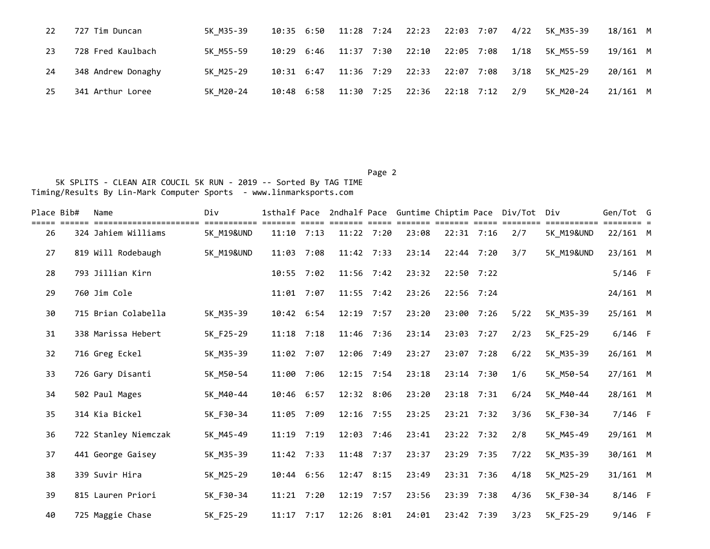| 22 | 727 Tim Duncan     | 5K M35-39 |            |            |                                            |                 |      | 10:35 6:50 11:28 7:24 22:23 22:03 7:07 4/22 5K M35-39 | 18/161 M |  |
|----|--------------------|-----------|------------|------------|--------------------------------------------|-----------------|------|-------------------------------------------------------|----------|--|
| 23 | 728 Fred Kaulbach  | 5K M55-59 |            |            | 10:29 6:46 11:37 7:30 22:10                | 22:05 7:08 1/18 |      | 5K M55-59                                             | 19/161 M |  |
| 24 | 348 Andrew Donaghy | 5K M25-29 | 10:31 6:47 | 11:36 7:29 | 22:33                                      | 22:07 7:08      | 3/18 | 5K M25-29                                             | 20/161 M |  |
| 25 | 341 Arthur Loree   | 5K M20-24 |            |            | 10:48 6:58 11:30 7:25 22:36 22:18 7:12 2/9 |                 |      | 5K M20-24                                             | 21/161 M |  |

| Place Bib# | Name                 | Div                   | 1sthalf Pace |      |              |      |       |              | 2ndhalf Pace Guntime Chiptim Pace Div/Tot Div |                       | Gen/Tot G  |  |
|------------|----------------------|-----------------------|--------------|------|--------------|------|-------|--------------|-----------------------------------------------|-----------------------|------------|--|
| 26         | 324 Jahiem Williams  | <b>5K M19&amp;UND</b> | $11:10$ 7:13 |      | 11:22 7:20   |      | 23:08 | $22:31$ 7:16 | 2/7                                           | <b>5K M19&amp;UND</b> | $22/161$ M |  |
| 27         | 819 Will Rodebaugh   | <b>5K M19&amp;UND</b> | 11:03        | 7:08 | 11:42 7:33   |      | 23:14 | 22:44 7:20   | 3/7                                           | <b>5K M19&amp;UND</b> | 23/161 M   |  |
| 28         | 793 Jillian Kirn     |                       | 10:55 7:02   |      | 11:56 7:42   |      | 23:32 | 22:50 7:22   |                                               |                       | $5/146$ F  |  |
| 29         | 760 Jim Cole         |                       | 11:01        | 7:07 | 11:55 7:42   |      | 23:26 | $22:56$ 7:24 |                                               |                       | 24/161 M   |  |
| 30         | 715 Brian Colabella  | 5K M35-39             | 10:42 6:54   |      | 12:19 7:57   |      | 23:20 | 23:00 7:26   | 5/22                                          | 5K M35-39             | 25/161 M   |  |
| 31         | 338 Marissa Hebert   | 5K_F25-29             | $11:18$ 7:18 |      | 11:46 7:36   |      | 23:14 | 23:03 7:27   | 2/23                                          | 5K_F25-29             | $6/146$ F  |  |
| 32         | 716 Greg Eckel       | 5K_M35-39             | 11:02 7:07   |      | 12:06 7:49   |      | 23:27 | 23:07 7:28   | 6/22                                          | 5K M35-39             | 26/161 M   |  |
| 33         | 726 Gary Disanti     | 5K M50-54             | 11:00 7:06   |      | $12:15$ 7:54 |      | 23:18 | 23:14 7:30   | 1/6                                           | 5K M50-54             | $27/161$ M |  |
| 34         | 502 Paul Mages       | 5K M40-44             | 10:46 6:57   |      | 12:32 8:06   |      | 23:20 | 23:18 7:31   | 6/24                                          | 5K M40-44             | 28/161 M   |  |
| 35         | 314 Kia Bickel       | 5K F30-34             | 11:05 7:09   |      | $12:16$ 7:55 |      | 23:25 | 23:21 7:32   | 3/36                                          | 5K F30-34             | $7/146$ F  |  |
| 36         | 722 Stanley Niemczak | 5K M45-49             | 11:19 7:19   |      | 12:03 7:46   |      | 23:41 | 23:22 7:32   | 2/8                                           | 5K M45-49             | 29/161 M   |  |
| 37         | 441 George Gaisey    | 5K M35-39             | 11:42 7:33   |      | 11:48 7:37   |      | 23:37 | 23:29 7:35   | 7/22                                          | 5K M35-39             | 30/161 M   |  |
| 38         | 339 Suvir Hira       | 5K M25-29             | 10:44 6:56   |      | 12:47 8:15   |      | 23:49 | 23:31 7:36   | 4/18                                          | 5K M25-29             | $31/161$ M |  |
| 39         | 815 Lauren Priori    | 5K F30-34             | 11:21        | 7:20 | 12:19        | 7:57 | 23:56 | 23:39 7:38   | 4/36                                          | 5K F30-34             | 8/146 F    |  |
| 40         | 725 Maggie Chase     | 5K F25-29             | 11:17        | 7:17 | 12:26 8:01   |      | 24:01 | 23:42 7:39   | 3/23                                          | 5K F25-29             | $9/146$ F  |  |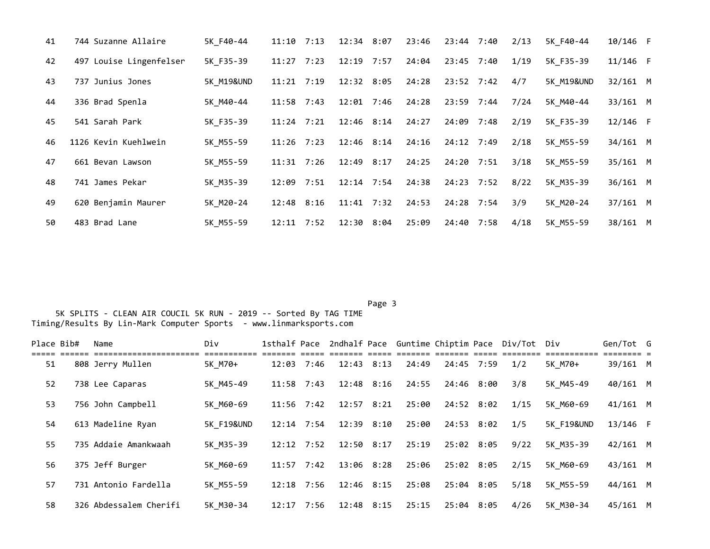| 41 | 744 Suzanne Allaire     | 5K F40-44             | 11:10          | 7:13 | $12:34$ 8:07   | 23:46 | 23:44 7:40   | 2/13 | 5K F40-44  | $10/146$ F |  |
|----|-------------------------|-----------------------|----------------|------|----------------|-------|--------------|------|------------|------------|--|
| 42 | 497 Louise Lingenfelser | 5K F35-39             | $11:27$ 7:23   |      | $12:19$ 7:57   | 24:04 | 23:45 7:40   | 1/19 | 5K F35-39  | $11/146$ F |  |
| 43 | 737 Junius Jones        | <b>5K M19&amp;UND</b> | $11:21$ $7:19$ |      | $12:32$ 8:05   | 24:28 | $23:52$ 7:42 | 4/7  | 5K M19&UND | $32/161$ M |  |
| 44 | 336 Brad Spenla         | 5K M40-44             | $11:58$ 7:43   |      | 12:01 7:46     | 24:28 | 23:59 7:44   | 7/24 | 5K M40-44  | 33/161 M   |  |
| 45 | 541 Sarah Park          | 5K F35-39             | $11:24$ 7:21   |      | $12:46$ $8:14$ | 24:27 | 24:09 7:48   | 2/19 | 5K F35-39  | $12/146$ F |  |
| 46 | 1126 Kevin Kuehlwein    | 5K M55-59             | $11:26$ 7:23   |      | $12:46$ $8:14$ | 24:16 | 24:12 7:49   | 2/18 | 5K M55-59  | 34/161 M   |  |
| 47 | 661 Bevan Lawson        | 5K M55-59             | 11:31          | 7:26 | $12:49$ $8:17$ | 24:25 | 24:20 7:51   | 3/18 | 5K M55-59  | 35/161 M   |  |
| 48 | 741 James Pekar         | 5K M35-39             | 12:09          | 7:51 | $12:14$ 7:54   | 24:38 | $24:23$ 7:52 | 8/22 | 5K M35-39  | $36/161$ M |  |
| 49 | 620 Benjamin Maurer     | 5K M20-24             | 12:48 8:16     |      | $11:41$ $7:32$ | 24:53 | 24:28 7:54   | 3/9  | 5K M20-24  | $37/161$ M |  |
| 50 | 483 Brad Lane           | 5K M55-59             | $12:11$ $7:52$ |      | 12:30 8:04     | 25:09 | 24:40 7:58   | 4/18 | 5K M55-59  | 38/161 M   |  |

Page 3 and 2012 and 2012 and 2012 and 2012 and 2012 and 2012 and 2012 and 2012 and 2012 and 2012 and 2012 and

| Place Bib# | Name                   | Div                   |                |      |                |       |            | 1sthalf Pace 2ndhalf Pace Guntime Chiptim Pace Div/Tot Div |                       | Gen/Tot G  |  |
|------------|------------------------|-----------------------|----------------|------|----------------|-------|------------|------------------------------------------------------------|-----------------------|------------|--|
| 51         | 808 Jerry Mullen       | 5K M70+               | 12:03          | 7:46 | $12:43$ $8:13$ | 24:49 | 24:45 7:59 | 1/2                                                        | 5K M70+               | 39/161 M   |  |
| 52         | 738 Lee Caparas        | 5K M45-49             | $11:58$ 7:43   |      | $12:48$ $8:16$ | 24:55 | 24:46 8:00 | 3/8                                                        | 5K M45-49             | 40/161 M   |  |
| 53         | 756 John Campbell      | 5K M60-69             | $11:56$ 7:42   |      | $12:57$ $8:21$ | 25:00 | 24:52 8:02 | 1/15                                                       | 5K M60-69             | $41/161$ M |  |
| 54         | 613 Madeline Ryan      | <b>5K F19&amp;UND</b> | $12:14$ 7:54   |      | $12:39$ $8:10$ | 25:00 | 24:53 8:02 | 1/5                                                        | <b>5K F19&amp;UND</b> | $13/146$ F |  |
| 55         | 735 Addaie Amankwaah   | 5K M35-39             | $12:12$ $7:52$ |      | $12:50$ $8:17$ | 25:19 | 25:02 8:05 | 9/22                                                       | 5K M35-39             | $42/161$ M |  |
| 56         | 375 Jeff Burger        | 5K M60-69             | $11:57$ 7:42   |      | 13:06 8:28     | 25:06 | 25:02 8:05 | 2/15                                                       | 5K M60-69             | 43/161 M   |  |
| 57         | 731 Antonio Fardella   | 5K M55-59             | $12:18$ 7:56   |      | 12:46 8:15     | 25:08 | 25:04 8:05 | 5/18                                                       | 5K M55-59             | 44/161 M   |  |
| 58         | 326 Abdessalem Cherifi | 5K M30-34             | 12:17 7:56     |      | 12:48 8:15     | 25:15 | 25:04 8:05 | 4/26                                                       | 5K M30-34             | 45/161 M   |  |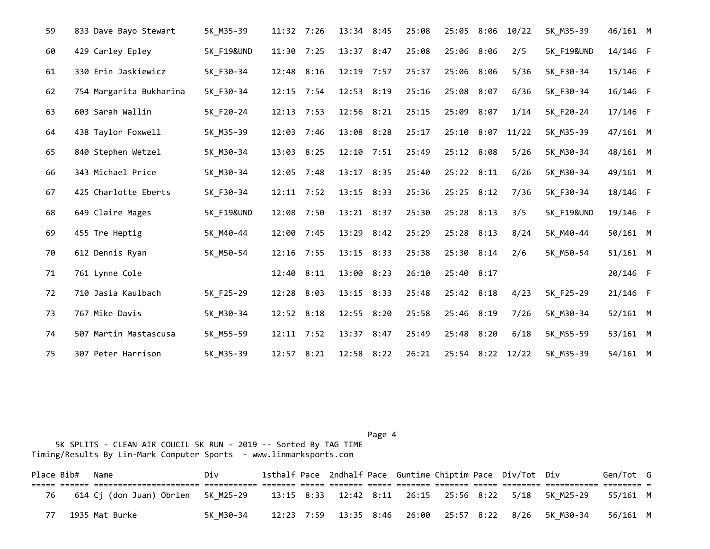| 59 | 833 Dave Bayo Stewart   | 5K M35-39             | 11:32 7:26   |      | 13:34 8:45   | 25:08 | 25:05 8:06   | 10/22 | 5K M35-39             | 46/161 M   |  |
|----|-------------------------|-----------------------|--------------|------|--------------|-------|--------------|-------|-----------------------|------------|--|
| 60 | 429 Carley Epley        | <b>5K F19&amp;UND</b> | 11:30 7:25   |      | 13:37 8:47   | 25:08 | 25:06 8:06   | 2/5   | <b>5K F19&amp;UND</b> | 14/146 F   |  |
| 61 | 330 Erin Jaskiewicz     | 5K F30-34             | 12:48 8:16   |      | 12:19 7:57   | 25:37 | 25:06 8:06   | 5/36  | 5K_F30-34             | 15/146 F   |  |
| 62 | 754 Margarita Bukharina | 5K_F30-34             | 12:15 7:54   |      | 12:53 8:19   | 25:16 | 25:08 8:07   | 6/36  | 5K F30-34             | 16/146 F   |  |
| 63 | 603 Sarah Wallin        | 5K F20-24             | $12:13$ 7:53 |      | 12:56 8:21   | 25:15 | 25:09 8:07   | 1/14  | 5K F20-24             | $17/146$ F |  |
| 64 | 438 Taylor Foxwell      | 5K M35-39             | 12:03 7:46   |      | 13:08 8:28   | 25:17 | 25:10 8:07   | 11/22 | 5K M35-39             | 47/161 M   |  |
| 65 | 840 Stephen Wetzel      | 5K M30-34             | 13:03 8:25   |      | $12:10$ 7:51 | 25:49 | 25:12 8:08   | 5/26  | 5K M30-34             | 48/161 M   |  |
| 66 | 343 Michael Price       | 5K M30-34             | 12:05 7:48   |      | 13:17 8:35   | 25:40 | 25:22 8:11   | 6/26  | 5K M30-34             | 49/161 M   |  |
| 67 | 425 Charlotte Eberts    | 5K F30-34             | 12:11 7:52   |      | 13:15 8:33   | 25:36 | $25:25$ 8:12 | 7/36  | 5K F30-34             | 18/146 F   |  |
| 68 | 649 Claire Mages        | <b>5K F19&amp;UND</b> | 12:08 7:50   |      | 13:21 8:37   | 25:30 | 25:28 8:13   | 3/5   | <b>5K F19&amp;UND</b> | 19/146 F   |  |
| 69 | 455 Tre Heptig          | 5K M40-44             | 12:00        | 7:45 | 13:29 8:42   | 25:29 | 25:28 8:13   | 8/24  | 5K M40-44             | 50/161 M   |  |
| 70 | 612 Dennis Ryan         | 5K M50-54             | 12:16 7:55   |      | 13:15 8:33   | 25:38 | 25:30 8:14   | 2/6   | 5K M50-54             | $51/161$ M |  |
| 71 | 761 Lynne Cole          |                       | 12:40 8:11   |      | 13:00 8:23   | 26:10 | 25:40 8:17   |       |                       | 20/146 F   |  |
| 72 | 710 Jasia Kaulbach      | 5K F25-29             | 12:28 8:03   |      | 13:15 8:33   | 25:48 | 25:42 8:18   | 4/23  | 5K_F25-29             | $21/146$ F |  |
| 73 | 767 Mike Davis          | 5K M30-34             | 12:52 8:18   |      | 12:55 8:20   | 25:58 | 25:46 8:19   | 7/26  | 5K M30-34             | $52/161$ M |  |
| 74 | 507 Martin Mastascusa   | 5K_M55-59             | 12:11 7:52   |      | 13:37 8:47   | 25:49 | 25:48 8:20   | 6/18  | 5K M55-59             | 53/161 M   |  |
| 75 | 307 Peter Harrison      | 5K M35-39             | 12:57 8:21   |      | 12:58 8:22   | 26:21 | 25:54 8:22   | 12/22 | 5K M35-39             | 54/161 M   |  |

Page 4 and the state of the state of the state of the state of the state of the state of the state of the state of the state of the state of the state of the state of the state of the state of the state of the state of the 5K SPLITS - CLEAN AIR COUCIL 5K RUN - 2019 -- Sorted By TAG TIME Timing/Results By Lin-Mark Computer Sports - www.linmarksports.com

|    | Place Bib# Name |                                                                                                   | Div       |  |  |  | 1sthalf Pace 2ndhalf Pace Guntime Chiptim Pace Div/Tot Div |                                                                | Gen/Tot G |  |
|----|-----------------|---------------------------------------------------------------------------------------------------|-----------|--|--|--|------------------------------------------------------------|----------------------------------------------------------------|-----------|--|
|    |                 |                                                                                                   |           |  |  |  |                                                            |                                                                |           |  |
| 76 |                 | 614 Cj (don Juan) Obrien 5K M25-29 13:15 8:33 12:42 8:11 26:15 25:56 8:22 5/18 5K M25-29 55/161 M |           |  |  |  |                                                            |                                                                |           |  |
| 77 |                 | 1935 Mat Burke                                                                                    | 5K M30-34 |  |  |  |                                                            | 12:23 7:59 13:35 8:46 26:00 25:57 8:22 8/26 5K M30-34 56/161 M |           |  |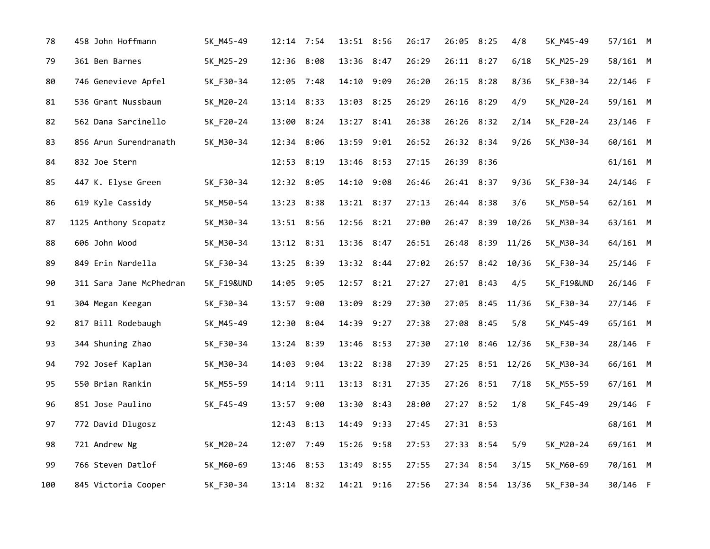| 78  | 458 John Hoffmann       | 5K_M45-49             | 12:14 7:54 | 13:51 8:56 |      | 26:17 | 26:05 8:25   | 4/8              | 5K_M45-49             | 57/161 M   |  |
|-----|-------------------------|-----------------------|------------|------------|------|-------|--------------|------------------|-----------------------|------------|--|
| 79  | 361 Ben Barnes          | 5K_M25-29             | 12:36 8:08 | 13:36 8:47 |      | 26:29 | 26:11 8:27   | 6/18             | 5K_M25-29             | 58/161 M   |  |
| 80  | 746 Genevieve Apfel     | 5K F30-34             | 12:05 7:48 | 14:10 9:09 |      | 26:20 | 26:15 8:28   | 8/36             | 5K F30-34             | 22/146 F   |  |
| 81  | 536 Grant Nussbaum      | 5K M20-24             | 13:14 8:33 | 13:03 8:25 |      | 26:29 | 26:16 8:29   | 4/9              | 5K M20-24             | 59/161 M   |  |
| 82  | 562 Dana Sarcinello     | 5K_F20-24             | 13:00 8:24 | 13:27 8:41 |      | 26:38 | 26:26 8:32   | 2/14             | 5K_F20-24             | 23/146 F   |  |
| 83  | 856 Arun Surendranath   | 5K_M30-34             | 12:34 8:06 | 13:59 9:01 |      | 26:52 | 26:32 8:34   | 9/26             | 5K_M30-34             | 60/161 M   |  |
| 84  | 832 Joe Stern           |                       | 12:53 8:19 | 13:46      | 8:53 | 27:15 | 26:39 8:36   |                  |                       | 61/161 M   |  |
| 85  | 447 K. Elyse Green      | 5K_F30-34             | 12:32 8:05 | 14:10 9:08 |      | 26:46 | 26:41 8:37   | 9/36             | 5K_F30-34             | 24/146 F   |  |
| 86  | 619 Kyle Cassidy        | 5K_M50-54             | 13:23 8:38 | 13:21 8:37 |      | 27:13 | 26:44 8:38   | 3/6              | 5K M50-54             | $62/161$ M |  |
| 87  | 1125 Anthony Scopatz    | 5K_M30-34             | 13:51 8:56 | 12:56 8:21 |      | 27:00 | 26:47 8:39   | 10/26            | 5K_M30-34             | 63/161 M   |  |
| 88  | 606 John Wood           | 5K_M30-34             | 13:12 8:31 | 13:36 8:47 |      | 26:51 | 26:48 8:39   | 11/26            | 5K_M30-34             | 64/161 M   |  |
| 89  | 849 Erin Nardella       | 5K F30-34             | 13:25 8:39 | 13:32 8:44 |      | 27:02 |              | 26:57 8:42 10/36 | 5K F30-34             | 25/146 F   |  |
| 90  | 311 Sara Jane McPhedran | <b>5K F19&amp;UND</b> | 14:05 9:05 | 12:57 8:21 |      | 27:27 | 27:01 8:43   | 4/5              | <b>5K F19&amp;UND</b> | 26/146 F   |  |
| 91  | 304 Megan Keegan        | 5K_F30-34             | 13:57 9:00 | 13:09      | 8:29 | 27:30 | 27:05 8:45   | 11/36            | 5K F30-34             | 27/146 F   |  |
| 92  | 817 Bill Rodebaugh      | 5K_M45-49             | 12:30 8:04 | 14:39 9:27 |      | 27:38 | 27:08 8:45   | 5/8              | 5K_M45-49             | 65/161 M   |  |
| 93  | 344 Shuning Zhao        | 5K_F30-34             | 13:24 8:39 | 13:46 8:53 |      | 27:30 | $27:10$ 8:46 | 12/36            | 5K_F30-34             | 28/146 F   |  |
| 94  | 792 Josef Kaplan        | 5K_M30-34             | 14:03 9:04 | 13:22 8:38 |      | 27:39 |              | 27:25 8:51 12/26 | 5K_M30-34             | 66/161 M   |  |
| 95  | 550 Brian Rankin        | 5K_M55-59             | 14:14 9:11 | 13:13 8:31 |      | 27:35 | 27:26 8:51   | 7/18             | 5K_M55-59             | 67/161 M   |  |
| 96  | 851 Jose Paulino        | 5K F45-49             | 13:57 9:00 | 13:30      | 8:43 | 28:00 | 27:27 8:52   | 1/8              | 5K F45-49             | 29/146 F   |  |
| 97  | 772 David Dlugosz       |                       | 12:43 8:13 | 14:49 9:33 |      | 27:45 | 27:31 8:53   |                  |                       | 68/161 M   |  |
| 98  | 721 Andrew Ng           | 5K_M20-24             | 12:07 7:49 | 15:26 9:58 |      | 27:53 | 27:33 8:54   | 5/9              | 5K M20-24             | 69/161 M   |  |
| 99  | 766 Steven Datlof       | 5K M60-69             | 13:46 8:53 | 13:49 8:55 |      | 27:55 | 27:34 8:54   | 3/15             | 5K M60-69             | 70/161 M   |  |
| 100 | 845 Victoria Cooper     | 5K F30-34             | 13:14 8:32 | 14:21 9:16 |      | 27:56 |              | 27:34 8:54 13/36 | 5K_F30-34             | 30/146 F   |  |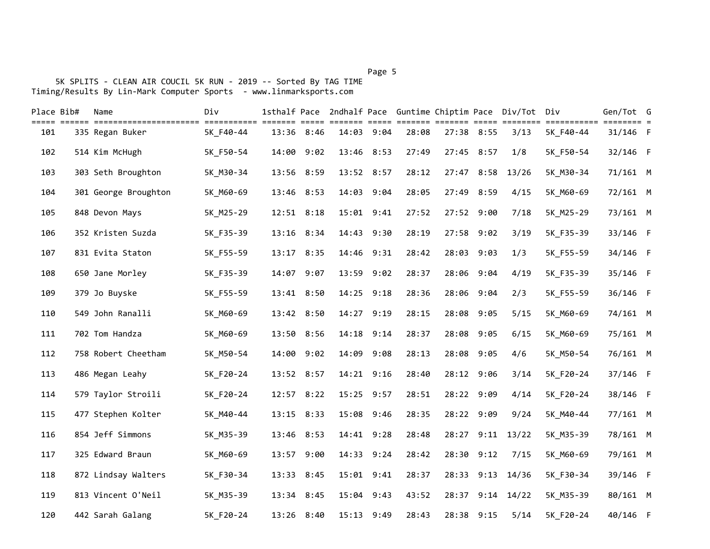## 5K SPLITS - CLEAN AIR COUCIL 5K RUN - 2019 -- Sorted By TAG TIME Timing/Results By Lin-Mark Computer Sports - www.linmarksports.com

| Place Bib#<br>===== | Name                                       | Div                      |            |      |            |                      |       |            |            | 1sthalf Pace 2ndhalf Pace Guntime Chiptim Pace Div/Tot Div |                          | Gen/Tot G          |  |
|---------------------|--------------------------------------------|--------------------------|------------|------|------------|----------------------|-------|------------|------------|------------------------------------------------------------|--------------------------|--------------------|--|
| 101                 | =======================<br>335 Regan Buker | ===========<br>5K F40-44 | 13:36 8:46 |      | 14:03      | <b>EEEEE</b><br>9:04 | 28:08 |            | 27:38 8:55 | ======= ======= ===== ========<br>3/13                     | ===========<br>5K_F40-44 | ==== =<br>31/146 F |  |
| 102                 | 514 Kim McHugh                             | 5K F50-54                | 14:00      | 9:02 | 13:46 8:53 |                      | 27:49 | 27:45 8:57 |            | 1/8                                                        | 5K F50-54                | 32/146 F           |  |
| 103                 | 303 Seth Broughton                         | 5K_M30-34                | 13:56 8:59 |      | 13:52 8:57 |                      | 28:12 |            | 27:47 8:58 | 13/26                                                      | 5K M30-34                | 71/161 M           |  |
| 104                 | 301 George Broughton                       | 5K M60-69                | 13:46 8:53 |      | 14:03 9:04 |                      | 28:05 | 27:49 8:59 |            | 4/15                                                       | 5K_M60-69                | 72/161 M           |  |
| 105                 | 848 Devon Mays                             | 5K_M25-29                | 12:51 8:18 |      | 15:01 9:41 |                      | 27:52 | 27:52 9:00 |            | 7/18                                                       | 5K_M25-29                | 73/161 M           |  |
| 106                 | 352 Kristen Suzda                          | 5K_F35-39                | 13:16 8:34 |      | 14:43 9:30 |                      | 28:19 |            | 27:58 9:02 | 3/19                                                       | 5K_F35-39                | 33/146 F           |  |
| 107                 | 831 Evita Staton                           | 5K_F55-59                | 13:17 8:35 |      | 14:46 9:31 |                      | 28:42 |            | 28:03 9:03 | 1/3                                                        | 5K_F55-59                | 34/146 F           |  |
| 108                 | 650 Jane Morley                            | 5K F35-39                | 14:07 9:07 |      | 13:59 9:02 |                      | 28:37 |            | 28:06 9:04 | 4/19                                                       | 5K F35-39                | 35/146 F           |  |
| 109                 | 379 Jo Buyske                              | 5K F55-59                | 13:41 8:50 |      | 14:25 9:18 |                      | 28:36 |            | 28:06 9:04 | 2/3                                                        | 5K F55-59                | 36/146 F           |  |
| 110                 | 549 John Ranalli                           | 5K M60-69                | 13:42 8:50 |      | 14:27      | 9:19                 | 28:15 |            | 28:08 9:05 | 5/15                                                       | 5K M60-69                | 74/161 M           |  |
| 111                 | 702 Tom Handza                             | 5K M60-69                | 13:50 8:56 |      | 14:18 9:14 |                      | 28:37 | 28:08 9:05 |            | 6/15                                                       | 5K M60-69                | 75/161 M           |  |
| 112                 | 758 Robert Cheetham                        | 5K M50-54                | 14:00 9:02 |      | 14:09      | 9:08                 | 28:13 | 28:08 9:05 |            | 4/6                                                        | 5K M50-54                | 76/161 M           |  |
| 113                 | 486 Megan Leahy                            | 5K_F20-24                | 13:52 8:57 |      | 14:21 9:16 |                      | 28:40 |            | 28:12 9:06 | 3/14                                                       | 5K_F20-24                | 37/146 F           |  |
| 114                 | 579 Taylor Stroili                         | 5K_F20-24                | 12:57 8:22 |      | 15:25 9:57 |                      | 28:51 |            | 28:22 9:09 | 4/14                                                       | 5K_F20-24                | 38/146 F           |  |
| 115                 | 477 Stephen Kolter                         | 5K_M40-44                | 13:15 8:33 |      | 15:08 9:46 |                      | 28:35 |            | 28:22 9:09 | 9/24                                                       | 5K_M40-44                | 77/161 M           |  |
| 116                 | 854 Jeff Simmons                           | 5K_M35-39                | 13:46 8:53 |      | 14:41 9:28 |                      | 28:48 |            |            | 28:27 9:11 13/22                                           | 5K_M35-39                | 78/161 M           |  |
| 117                 | 325 Edward Braun                           | 5K M60-69                | 13:57      | 9:00 | 14:33 9:24 |                      | 28:42 |            | 28:30 9:12 | 7/15                                                       | 5K M60-69                | 79/161 M           |  |
| 118                 | 872 Lindsay Walters                        | 5K F30-34                | 13:33      | 8:45 | 15:01 9:41 |                      | 28:37 |            | 28:33 9:13 | 14/36                                                      | 5K F30-34                | 39/146 F           |  |
| 119                 | 813 Vincent O'Neil                         | 5K_M35-39                | 13:34      | 8:45 | 15:04      | 9:43                 | 43:52 |            | 28:37 9:14 | 14/22                                                      | 5K M35-39                | 80/161 M           |  |
| 120                 | 442 Sarah Galang                           | 5K F20-24                | 13:26 8:40 |      | 15:13 9:49 |                      | 28:43 |            | 28:38 9:15 | 5/14                                                       | 5K F20-24                | 40/146 F           |  |

## Page 5 and 2012 and 2012 and 2012 and 2012 and 2012 and 2012 and 2012 and 2012 and 2012 and 2012 and 2012 and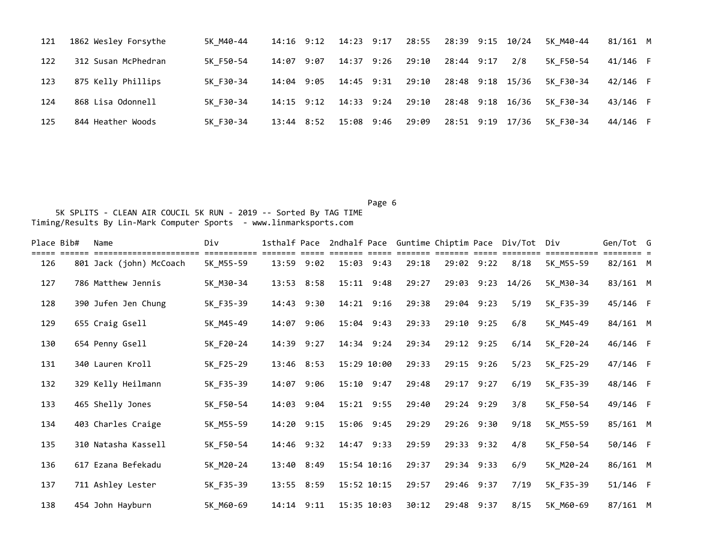| 121 | 1862 Wesley Forsythe | 5K M40-44 |              | 14:16 9:12 14:23 9:17 | 28:55 | 28:39 9:15 10/24 |     | 5K M40-44 | 81/161 M |  |
|-----|----------------------|-----------|--------------|-----------------------|-------|------------------|-----|-----------|----------|--|
| 122 | 312 Susan McPhedran  | 5K F50-54 | 14:07 9:07   | 14:37 9:26            | 29:10 | 28:44 9:17       | 2/8 | 5K F50-54 | 41/146 F |  |
| 123 | 875 Kelly Phillips   | 5K F30-34 | 14:04 9:05   | $14:45$ 9:31          | 29:10 | 28:48 9:18 15/36 |     | 5K F30-34 | 42/146 F |  |
| 124 | 868 Lisa Odonnell    | 5K F30-34 | $14:15$ 9:12 | 14:33 9:24            | 29:10 | 28:48 9:18 16/36 |     | 5K F30-34 | 43/146 F |  |
| 125 | 844 Heather Woods    | 5K F30-34 | 13:44 8:52   | 15:08 9:46            | 29:09 | 28:51 9:19 17/36 |     | 5K F30-34 | 44/146 F |  |

Page 6 and the contract of the contract of the contract of the contract of the contract of the contract of the 5K SPLITS - CLEAN AIR COUCIL 5K RUN - 2019 -- Sorted By TAG TIME Timing/Results By Lin-Mark Computer Sports - www.linmarksports.com

| Place Bib# | Name                    | Div       | 1sthalf Pace |      |             |                |       |            | 2ndhalf Pace Guntime Chiptim Pace Div/Tot Div |           | Gen/Tot G  |  |
|------------|-------------------------|-----------|--------------|------|-------------|----------------|-------|------------|-----------------------------------------------|-----------|------------|--|
| 126        | 801 Jack (john) McCoach | 5K_M55-59 | 13:59 9:02   |      |             | $15:03$ $9:43$ | 29:18 | 29:02 9:22 | 8/18                                          | 5K M55-59 | $82/161$ M |  |
| 127        | 786 Matthew Jennis      | 5K_M30-34 | 13:53        | 8:58 |             | 15:11 9:48     | 29:27 | 29:03 9:23 | 14/26                                         | 5K M30-34 | 83/161 M   |  |
| 128        | 390 Jufen Jen Chung     | 5K_F35-39 | 14:43        | 9:30 |             | 14:21 9:16     | 29:38 | 29:04 9:23 | 5/19                                          | 5K F35-39 | 45/146 F   |  |
| 129        | 655 Craig Gsell         | 5K_M45-49 | 14:07        | 9:06 |             | 15:04 9:43     | 29:33 | 29:10 9:25 | 6/8                                           | 5K M45-49 | 84/161 M   |  |
| 130        | 654 Penny Gsell         | 5K F20-24 | 14:39 9:27   |      |             | 14:34 9:24     | 29:34 | 29:12 9:25 | 6/14                                          | 5K_F20-24 | 46/146 F   |  |
| 131        | 340 Lauren Kroll        | 5K_F25-29 | 13:46 8:53   |      |             | 15:29 10:00    | 29:33 | 29:15 9:26 | 5/23                                          | 5K F25-29 | 47/146 F   |  |
| 132        | 329 Kelly Heilmann      | 5K F35-39 | 14:07        | 9:06 |             | $15:10$ $9:47$ | 29:48 | 29:17 9:27 | 6/19                                          | 5K F35-39 | 48/146 F   |  |
| 133        | 465 Shelly Jones        | 5K F50-54 | 14:03 9:04   |      |             | 15:21 9:55     | 29:40 | 29:24 9:29 | 3/8                                           | 5K F50-54 | 49/146 F   |  |
| 134        | 403 Charles Craige      | 5K_M55-59 | 14:20 9:15   |      |             | 15:06 9:45     | 29:29 | 29:26 9:30 | 9/18                                          | 5K_M55-59 | 85/161 M   |  |
| 135        | 310 Natasha Kassell     | 5K_F50-54 | 14:46 9:32   |      |             | 14:47 9:33     | 29:59 | 29:33 9:32 | 4/8                                           | 5K F50-54 | 50/146 F   |  |
| 136        | 617 Ezana Befekadu      | 5K M20-24 | 13:40        | 8:49 |             | 15:54 10:16    | 29:37 | 29:34 9:33 | 6/9                                           | 5K_M20-24 | 86/161 M   |  |
| 137        | 711 Ashley Lester       | 5K_F35-39 | 13:55 8:59   |      |             | 15:52 10:15    | 29:57 | 29:46 9:37 | 7/19                                          | 5K F35-39 | 51/146 F   |  |
| 138        | 454 John Hayburn        | 5K M60-69 | 14:14 9:11   |      | 15:35 10:03 |                | 30:12 | 29:48 9:37 | 8/15                                          | 5K M60-69 | 87/161 M   |  |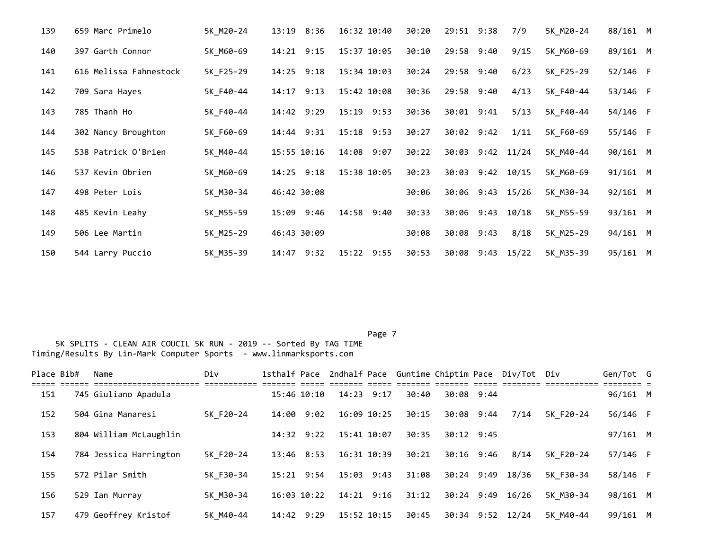| 139 | 659 Marc Primelo       | 5K M20-24 | 13:19<br>8:36 | 16:32 10:40   | 30:20 | 29:51 9:38 |                  | 7/9   | 5K M20-24 | 88/161 M |  |
|-----|------------------------|-----------|---------------|---------------|-------|------------|------------------|-------|-----------|----------|--|
| 140 | 397 Garth Connor       | 5K M60-69 | $14:21$ 9:15  | 15:37 10:05   | 30:10 | 29:58 9:40 |                  | 9/15  | 5K_M60-69 | 89/161 M |  |
| 141 | 616 Melissa Fahnestock | 5K_F25-29 | $14:25$ 9:18  | 15:34 10:03   | 30:24 | 29:58 9:40 |                  | 6/23  | 5K F25-29 | 52/146 F |  |
| 142 | 709 Sara Hayes         | 5K F40-44 | 14:17<br>9:13 | 15:42 10:08   | 30:36 | 29:58 9:40 |                  | 4/13  | 5K F40-44 | 53/146 F |  |
| 143 | 785 Thanh Ho           | 5K F40-44 | 14:42 9:29    | 15:19 9:53    | 30:36 | 30:01 9:41 |                  | 5/13  | 5K F40-44 | 54/146 F |  |
| 144 | 302 Nancy Broughton    | 5K F60-69 | 14:44 9:31    | 15:18 9:53    | 30:27 | 30:02 9:42 |                  | 1/11  | 5K F60-69 | 55/146 F |  |
| 145 | 538 Patrick O'Brien    | 5K M40-44 | 15:55 10:16   | 14:08<br>9:07 | 30:22 | 30:03      | 9:42             | 11/24 | 5K M40-44 | 90/161 M |  |
| 146 | 537 Kevin Obrien       | 5K M60-69 | $14:25$ 9:18  | 15:38 10:05   | 30:23 | 30:03 9:42 |                  | 10/15 | 5K M60-69 | 91/161 M |  |
| 147 | 498 Peter Lois         | 5K_M30-34 | 46:42 30:08   |               | 30:06 |            | 30:06 9:43 15/26 |       | 5K_M30-34 | 92/161 M |  |
| 148 | 485 Kevin Leahy        | 5K M55-59 | 15:09<br>9:46 | 14:58 9:40    | 30:33 | 30:06 9:43 |                  | 10/18 | 5K M55-59 | 93/161 M |  |
| 149 | 506 Lee Martin         | 5K M25-29 | 46:43 30:09   |               | 30:08 | 30:08      | 9:43             | 8/18  | 5K M25-29 | 94/161 M |  |
| 150 | 544 Larry Puccio       | 5K M35-39 | 14:47<br>9:32 | 15:22 9:55    | 30:53 | 30:08      | 9:43             | 15/22 | 5K_M35-39 | 95/161 M |  |

| Place Bib# | Name                   | Div       |                |                |       |              | 1sthalf Pace 2ndhalf Pace Guntime Chiptim Pace Div/Tot Div |           | Gen/Tot G |  |
|------------|------------------------|-----------|----------------|----------------|-------|--------------|------------------------------------------------------------|-----------|-----------|--|
| 151        | 745 Giuliano Apadula   |           | 15:46 10:10    | $14:23$ 9:17   | 30:40 | 30:08 9:44   |                                                            |           | 96/161 M  |  |
| 152        | 504 Gina Manaresi      | 5K F20-24 | 14:00 9:02     | 16:09 10:25    | 30:15 | 30:08 9:44   | 7/14                                                       | 5K F20-24 | 56/146 F  |  |
| 153        | 804 William McLaughlin |           | $14:32$ $9:22$ | 15:41 10:07    | 30:35 | $30:12$ 9:45 |                                                            |           | 97/161 M  |  |
| 154        | 784 Jessica Harrington | 5K F20-24 | $13:46$ $8:53$ | 16:31 10:39    | 30:21 | 30:16 9:46   | 8/14                                                       | 5K F20-24 | 57/146 F  |  |
| 155        | 572 Pilar Smith        | 5K F30-34 | $15:21$ 9:54   | $15:03$ $9:43$ | 31:08 | $30:24$ 9:49 | 18/36                                                      | 5K F30-34 | 58/146 F  |  |
| 156        | 529 Ian Murray         | 5K M30-34 | 16:03 10:22    | $14:21$ 9:16   | 31:12 | $30:24$ 9:49 | 16/26                                                      | 5K M30-34 | 98/161 M  |  |
| 157        | 479 Geoffrey Kristof   | 5K M40-44 | 14:42 9:29     | 15:52 10:15    | 30:45 | 30:34 9:52   | 12/24                                                      | 5K M40-44 | 99/161 M  |  |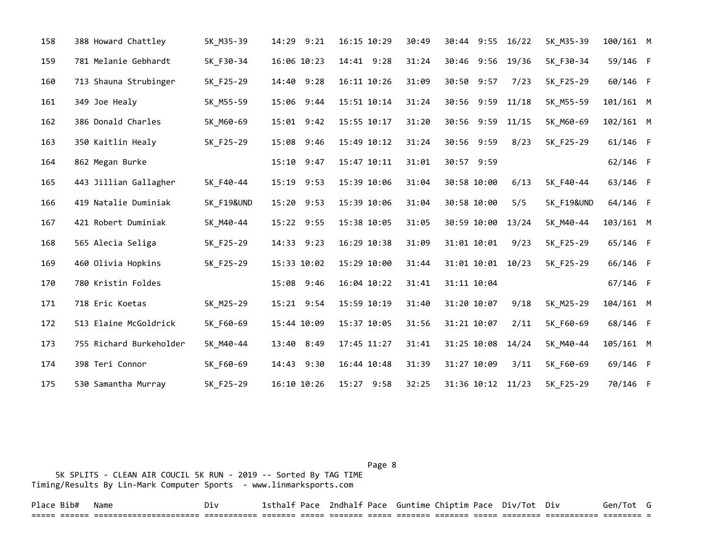| 158 | 388 Howard Chattley     | 5K_M35-39             | 14:29 9:21  | 16:15 10:29 | 30:49 | 30:44 9:55 16/22  |       | 5K_M35-39             | 100/161 M  |  |
|-----|-------------------------|-----------------------|-------------|-------------|-------|-------------------|-------|-----------------------|------------|--|
| 159 | 781 Melanie Gebhardt    | 5K_F30-34             | 16:06 10:23 | 14:41 9:28  | 31:24 | 30:46 9:56 19/36  |       | 5K F30-34             | 59/146 F   |  |
| 160 | 713 Shauna Strubinger   | 5K F25-29             | 14:40 9:28  | 16:11 10:26 | 31:09 | 30:50 9:57        | 7/23  | 5K F25-29             | 60/146 F   |  |
| 161 | 349 Joe Healy           | 5K M55-59             | 15:06 9:44  | 15:51 10:14 | 31:24 | 30:56 9:59        | 11/18 | 5K M55-59             | 101/161 M  |  |
| 162 | 386 Donald Charles      | 5K M60-69             | 15:01 9:42  | 15:55 10:17 | 31:20 | 30:56 9:59        | 11/15 | 5K M60-69             | 102/161 M  |  |
| 163 | 350 Kaitlin Healy       | 5K_F25-29             | 15:08 9:46  | 15:49 10:12 | 31:24 | 30:56 9:59        | 8/23  | 5K_F25-29             | $61/146$ F |  |
| 164 | 862 Megan Burke         |                       | 15:10 9:47  | 15:47 10:11 | 31:01 | 30:57 9:59        |       |                       | 62/146 F   |  |
| 165 | 443 Jillian Gallagher   | 5K F40-44             | 15:19 9:53  | 15:39 10:06 | 31:04 | 30:58 10:00       | 6/13  | 5K F40-44             | 63/146 F   |  |
| 166 | 419 Natalie Duminiak    | <b>5K F19&amp;UND</b> | 15:20 9:53  | 15:39 10:06 | 31:04 | 30:58 10:00       | 5/5   | <b>5K F19&amp;UND</b> | 64/146 F   |  |
| 167 | 421 Robert Duminiak     | 5K M40-44             | 15:22 9:55  | 15:38 10:05 | 31:05 | 30:59 10:00       | 13/24 | 5K M40-44             | 103/161 M  |  |
| 168 | 565 Alecia Seliga       | 5K_F25-29             | 14:33 9:23  | 16:29 10:38 | 31:09 | 31:01 10:01       | 9/23  | 5K F25-29             | 65/146 F   |  |
| 169 | 460 Olivia Hopkins      | 5K F25-29             | 15:33 10:02 | 15:29 10:00 | 31:44 | 31:01 10:01       | 10/23 | 5K F25-29             | 66/146 F   |  |
| 170 | 780 Kristin Foldes      |                       | 15:08 9:46  | 16:04 10:22 | 31:41 | 31:11 10:04       |       |                       | 67/146 F   |  |
| 171 | 718 Eric Koetas         | 5K M25-29             | 15:21 9:54  | 15:59 10:19 | 31:40 | 31:20 10:07       | 9/18  | 5K M25-29             | 104/161 M  |  |
| 172 | 513 Elaine McGoldrick   | 5K F60-69             | 15:44 10:09 | 15:37 10:05 | 31:56 | 31:21 10:07       | 2/11  | 5K F60-69             | 68/146 F   |  |
| 173 | 755 Richard Burkeholder | 5K M40-44             | 13:40 8:49  | 17:45 11:27 | 31:41 | 31:25 10:08       | 14/24 | 5K M40-44             | 105/161 M  |  |
| 174 | 398 Teri Connor         | 5K F60-69             | 14:43 9:30  | 16:44 10:48 | 31:39 | 31:27 10:09       | 3/11  | 5K F60-69             | 69/146 F   |  |
| 175 | 530 Samantha Murray     | 5K F25-29             | 16:10 10:26 | 15:27 9:58  | 32:25 | 31:36 10:12 11/23 |       | 5K F25-29             | 70/146 F   |  |

Page 8 and 2012 and 2012 and 2012 and 2012 and 2012 and 2012 and 2012 and 2012 and 2012 and 2012 and 2012 and

 5K SPLITS - CLEAN AIR COUCIL 5K RUN - 2019 -- Sorted By TAG TIME Timing/Results By Lin-Mark Computer Sports - www.linmarksports.com

Place Bib# Name  $Div$  Div 1sthalf Pace 2ndhalf Pace Guntime Chiptim Pace Div/Tot Div Gen/Tot G ===== ====== ====================== =========== ======= ===== ======= ===== ======= ======= ===== ======== =========== ======== =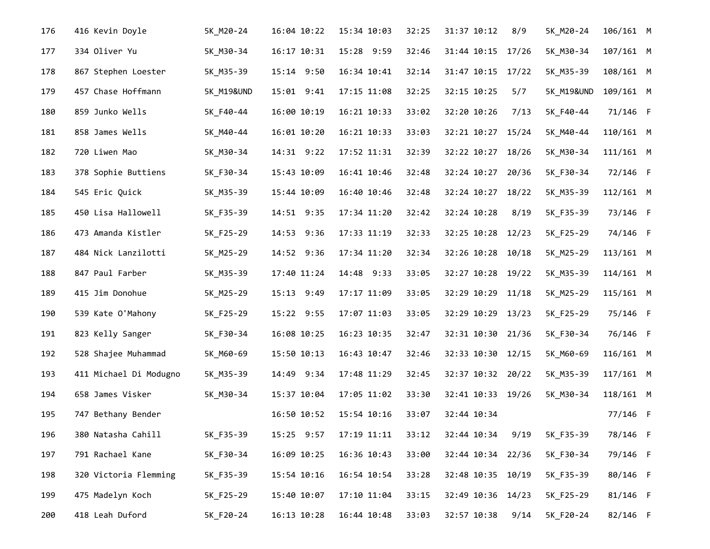| 176 | 416 Kevin Doyle        | 5K_M20-24             | 16:04 10:22 | 15:34 10:03 | 32:25 | 31:37 10:12       | 8/9   | 5K_M20-24  | 106/161 M   |  |
|-----|------------------------|-----------------------|-------------|-------------|-------|-------------------|-------|------------|-------------|--|
| 177 | 334 Oliver Yu          | 5K_M30-34             | 16:17 10:31 | 15:28 9:59  | 32:46 | 31:44 10:15       | 17/26 | 5K_M30-34  | 107/161 M   |  |
| 178 | 867 Stephen Loester    | 5K_M35-39             | 15:14 9:50  | 16:34 10:41 | 32:14 | 31:47 10:15       | 17/22 | 5K_M35-39  | 108/161 M   |  |
| 179 | 457 Chase Hoffmann     | <b>5K M19&amp;UND</b> | 15:01 9:41  | 17:15 11:08 | 32:25 | 32:15 10:25       | 5/7   | 5K_M19&UND | 109/161 M   |  |
| 180 | 859 Junko Wells        | 5K_F40-44             | 16:00 10:19 | 16:21 10:33 | 33:02 | 32:20 10:26       | 7/13  | 5K_F40-44  | 71/146 F    |  |
| 181 | 858 James Wells        | 5K_M40-44             | 16:01 10:20 | 16:21 10:33 | 33:03 | 32:21 10:27       | 15/24 | 5K_M40-44  | 110/161 M   |  |
| 182 | 720 Liwen Mao          | 5K_M30-34             | 14:31 9:22  | 17:52 11:31 | 32:39 | 32:22 10:27       | 18/26 | 5K_M30-34  | $111/161$ M |  |
| 183 | 378 Sophie Buttiens    | 5K_F30-34             | 15:43 10:09 | 16:41 10:46 | 32:48 | 32:24 10:27       | 20/36 | 5K_F30-34  | 72/146 F    |  |
| 184 | 545 Eric Quick         | 5K_M35-39             | 15:44 10:09 | 16:40 10:46 | 32:48 | 32:24 10:27       | 18/22 | 5K_M35-39  | $112/161$ M |  |
| 185 | 450 Lisa Hallowell     | 5K_F35-39             | 14:51 9:35  | 17:34 11:20 | 32:42 | 32:24 10:28       | 8/19  | 5K_F35-39  | 73/146 F    |  |
| 186 | 473 Amanda Kistler     | 5K_F25-29             | 14:53 9:36  | 17:33 11:19 | 32:33 | 32:25 10:28       | 12/23 | 5K_F25-29  | 74/146 F    |  |
| 187 | 484 Nick Lanzilotti    | 5K_M25-29             | 14:52 9:36  | 17:34 11:20 | 32:34 | 32:26 10:28       | 10/18 | 5K_M25-29  | 113/161 M   |  |
| 188 | 847 Paul Farber        | 5K_M35-39             | 17:40 11:24 | 14:48 9:33  | 33:05 | 32:27 10:28       | 19/22 | 5K_M35-39  | 114/161 M   |  |
| 189 | 415 Jim Donohue        | 5K_M25-29             | 15:13 9:49  | 17:17 11:09 | 33:05 | 32:29 10:29       | 11/18 | 5K_M25-29  | 115/161 M   |  |
| 190 | 539 Kate O'Mahony      | 5K_F25-29             | 15:22 9:55  | 17:07 11:03 | 33:05 | 32:29 10:29       | 13/23 | 5K_F25-29  | 75/146 F    |  |
| 191 | 823 Kelly Sanger       | 5K_F30-34             | 16:08 10:25 | 16:23 10:35 | 32:47 | 32:31 10:30 21/36 |       | 5K_F30-34  | 76/146 F    |  |
| 192 | 528 Shajee Muhammad    | 5K_M60-69             | 15:50 10:13 | 16:43 10:47 | 32:46 | 32:33 10:30 12/15 |       | 5K_M60-69  | 116/161 M   |  |
| 193 | 411 Michael Di Modugno | 5K_M35-39             | 14:49 9:34  | 17:48 11:29 | 32:45 | 32:37 10:32 20/22 |       | 5K_M35-39  | 117/161 M   |  |
| 194 | 658 James Visker       | 5K_M30-34             | 15:37 10:04 | 17:05 11:02 | 33:30 | 32:41 10:33 19/26 |       | 5K_M30-34  | 118/161 M   |  |
| 195 | 747 Bethany Bender     |                       | 16:50 10:52 | 15:54 10:16 | 33:07 | 32:44 10:34       |       |            | 77/146 F    |  |
| 196 | 380 Natasha Cahill     | 5K_F35-39             | 15:25 9:57  | 17:19 11:11 | 33:12 | 32:44 10:34       | 9/19  | 5K_F35-39  | 78/146 F    |  |
| 197 | 791 Rachael Kane       | 5K_F30-34             | 16:09 10:25 | 16:36 10:43 | 33:00 | 32:44 10:34 22/36 |       | 5K_F30-34  | 79/146 F    |  |
| 198 | 320 Victoria Flemming  | 5K_F35-39             | 15:54 10:16 | 16:54 10:54 | 33:28 | 32:48 10:35       | 10/19 | 5K_F35-39  | 80/146 F    |  |
| 199 | 475 Madelyn Koch       | 5K_F25-29             | 15:40 10:07 | 17:10 11:04 | 33:15 | 32:49 10:36       | 14/23 | 5K F25-29  | 81/146 F    |  |
| 200 | 418 Leah Duford        | 5K_F20-24             | 16:13 10:28 | 16:44 10:48 | 33:03 | 32:57 10:38       | 9/14  | 5K F20-24  | 82/146 F    |  |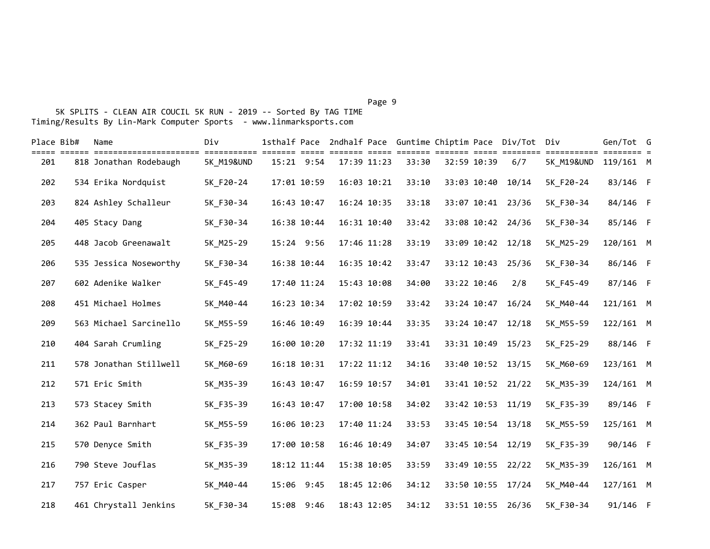Page 9 - Page 9 - Page 9 - Page 9 - Page 9 - Page 9 - Page 9 - Page 9 - Page 9 - Page 9

| Place Bib# | Name                                           | Div                       |             |             | 1sthalf Pace 2ndhalf Pace Guntime Chiptim Pace Div/Tot Div |                                  |             |             |                               |                                | Gen/Tot G   |  |
|------------|------------------------------------------------|---------------------------|-------------|-------------|------------------------------------------------------------|----------------------------------|-------------|-------------|-------------------------------|--------------------------------|-------------|--|
| 201        | --------------------<br>818 Jonathan Rodebaugh | ===========<br>5K_M19&UND |             | 15:21 9:54  | 17:39 11:23                                                | $=$ $=$ $=$ $=$ $=$ $=$<br>33:30 | 32:59 10:39 |             | ======= ===== ========<br>6/7 | =========== ====<br>5K M19&UND | 119/161 M   |  |
| 202        | 534 Erika Nordquist                            | 5K_F20-24                 | 17:01 10:59 |             | 16:03 10:21                                                | 33:10                            |             | 33:03 10:40 | 10/14                         | 5K F20-24                      | 83/146 F    |  |
| 203        | 824 Ashley Schalleur                           | 5K_F30-34                 | 16:43 10:47 |             | 16:24 10:35                                                | 33:18                            |             |             | 33:07 10:41 23/36             | 5K_F30-34                      | 84/146 F    |  |
| 204        | 405 Stacy Dang                                 | 5K_F30-34                 | 16:38 10:44 |             | 16:31 10:40                                                | 33:42                            |             |             | 33:08 10:42 24/36             | 5K_F30-34                      | 85/146 F    |  |
| 205        | 448 Jacob Greenawalt                           | 5K M25-29                 |             | 15:24 9:56  | 17:46 11:28                                                | 33:19                            |             | 33:09 10:42 | 12/18                         | 5K M25-29                      | 120/161 M   |  |
| 206        | 535 Jessica Noseworthy                         | 5K F30-34                 | 16:38 10:44 |             | 16:35 10:42                                                | 33:47                            |             | 33:12 10:43 | 25/36                         | 5K F30-34                      | 86/146 F    |  |
| 207        | 602 Adenike Walker                             | 5K_F45-49                 | 17:40 11:24 |             | 15:43 10:08                                                | 34:00                            | 33:22 10:46 |             | 2/8                           | 5K_F45-49                      | 87/146 F    |  |
| 208        | 451 Michael Holmes                             | 5K_M40-44                 |             | 16:23 10:34 | 17:02 10:59                                                | 33:42                            |             | 33:24 10:47 | 16/24                         | 5K_M40-44                      | 121/161 M   |  |
| 209        | 563 Michael Sarcinello                         | 5K M55-59                 | 16:46 10:49 |             | 16:39 10:44                                                | 33:35                            |             | 33:24 10:47 | 12/18                         | 5K M55-59                      | $122/161$ M |  |
| 210        | 404 Sarah Crumling                             | 5K_F25-29                 | 16:00 10:20 |             | 17:32 11:19                                                | 33:41                            |             | 33:31 10:49 | 15/23                         | 5K_F25-29                      | 88/146 F    |  |
| 211        | 578 Jonathan Stillwell                         | 5K_M60-69                 | 16:18 10:31 |             | 17:22 11:12                                                | 34:16                            |             |             | 33:40 10:52 13/15             | 5K_M60-69                      | 123/161 M   |  |
| 212        | 571 Eric Smith                                 | 5K_M35-39                 | 16:43 10:47 |             | 16:59 10:57                                                | 34:01                            |             |             | 33:41 10:52 21/22             | 5K_M35-39                      | 124/161 M   |  |
| 213        | 573 Stacey Smith                               | 5K_F35-39                 | 16:43 10:47 |             | 17:00 10:58                                                | 34:02                            |             | 33:42 10:53 | 11/19                         | 5K_F35-39                      | 89/146 F    |  |
| 214        | 362 Paul Barnhart                              | 5K_M55-59                 | 16:06 10:23 |             | 17:40 11:24                                                | 33:53                            |             |             | 33:45 10:54 13/18             | 5K_M55-59                      | 125/161 M   |  |
| 215        | 570 Denyce Smith                               | 5K_F35-39                 |             | 17:00 10:58 | 16:46 10:49                                                | 34:07                            |             |             | 33:45 10:54 12/19             | 5K_F35-39                      | 90/146 F    |  |
| 216        | 790 Steve Jouflas                              | 5K_M35-39                 | 18:12 11:44 |             | 15:38 10:05                                                | 33:59                            |             | 33:49 10:55 | 22/22                         | 5K_M35-39                      | 126/161 M   |  |
| 217        | 757 Eric Casper                                | 5K_M40-44                 | 15:06 9:45  |             | 18:45 12:06                                                | 34:12                            |             | 33:50 10:55 | 17/24                         | 5K_M40-44                      | 127/161 M   |  |
| 218        | 461 Chrystall Jenkins                          | 5K F30-34                 |             | 15:08 9:46  | 18:43 12:05                                                | 34:12                            |             |             | 33:51 10:55 26/36             | 5K F30-34                      | 91/146 F    |  |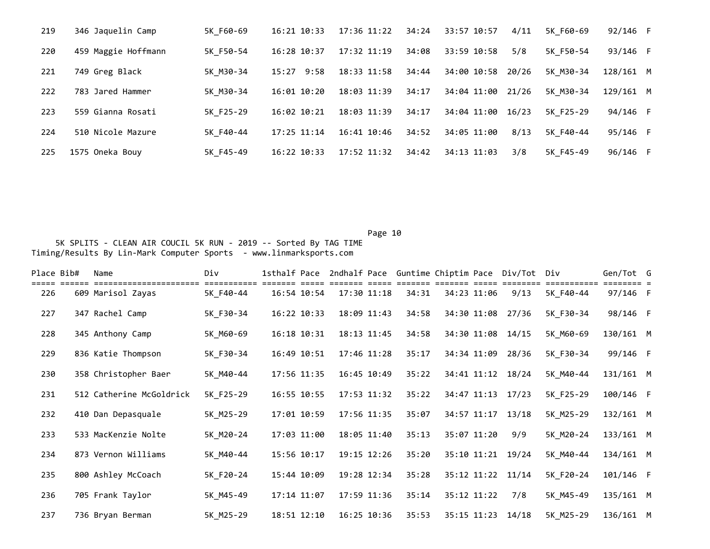| 219 | 346 Jaquelin Camp   | 5K F60-69 | 16:21 10:33   | 17:36 11:22 | 34:24 | 33:57 10:57 | 4/11  | 5K F60-69 | 92/146 F  |  |
|-----|---------------------|-----------|---------------|-------------|-------|-------------|-------|-----------|-----------|--|
| 220 | 459 Maggie Hoffmann | 5K F50-54 | 16:28 10:37   | 17:32 11:19 | 34:08 | 33:59 10:58 | 5/8   | 5K F50-54 | 93/146 F  |  |
| 221 | 749 Greg Black      | 5K M30-34 | 15:27<br>9:58 | 18:33 11:58 | 34:44 | 34:00 10:58 | 20/26 | 5K M30-34 | 128/161 M |  |
| 222 | 783 Jared Hammer    | 5K M30-34 | 16:01 10:20   | 18:03 11:39 | 34:17 | 34:04 11:00 | 21/26 | 5K M30-34 | 129/161 M |  |
| 223 | 559 Gianna Rosati   | 5K F25-29 | 16:02 10:21   | 18:03 11:39 | 34:17 | 34:04 11:00 | 16/23 | 5K F25-29 | 94/146 F  |  |
| 224 | 510 Nicole Mazure   | 5K F40-44 | 17:25 11:14   | 16:41 10:46 | 34:52 | 34:05 11:00 | 8/13  | 5K F40-44 | 95/146 F  |  |
| 225 | 1575 Oneka Bouy     | 5K F45-49 | 16:22 10:33   | 17:52 11:32 | 34:42 | 34:13 11:03 | 3/8   | 5K F45-49 | 96/146 F  |  |

| Place Bib# | Name                     | Div       | 1sthalf Pace |             |       |             | 2ndhalf Pace Guntime Chiptim Pace Div/Tot Div |           | Gen/Tot G   |  |
|------------|--------------------------|-----------|--------------|-------------|-------|-------------|-----------------------------------------------|-----------|-------------|--|
| 226        | 609 Marisol Zayas        | 5K F40-44 | 16:54 10:54  | 17:30 11:18 | 34:31 | 34:23 11:06 | 9/13                                          | 5K_F40-44 | 97/146 F    |  |
| 227        | 347 Rachel Camp          | 5K_F30-34 | 16:22 10:33  | 18:09 11:43 | 34:58 | 34:30 11:08 | 27/36                                         | 5K F30-34 | 98/146 F    |  |
| 228        | 345 Anthony Camp         | 5K M60-69 | 16:18 10:31  | 18:13 11:45 | 34:58 | 34:30 11:08 | 14/15                                         | 5K M60-69 | 130/161 M   |  |
| 229        | 836 Katie Thompson       | 5K_F30-34 | 16:49 10:51  | 17:46 11:28 | 35:17 | 34:34 11:09 | 28/36                                         | 5K F30-34 | 99/146 F    |  |
| 230        | 358 Christopher Baer     | 5K M40-44 | 17:56 11:35  | 16:45 10:49 | 35:22 |             | 34:41 11:12 18/24                             | 5K M40-44 | $131/161$ M |  |
| 231        | 512 Catherine McGoldrick | 5K_F25-29 | 16:55 10:55  | 17:53 11:32 | 35:22 | 34:47 11:13 | 17/23                                         | 5K F25-29 | 100/146 F   |  |
| 232        | 410 Dan Depasquale       | 5K_M25-29 | 17:01 10:59  | 17:56 11:35 | 35:07 | 34:57 11:17 | 13/18                                         | 5K M25-29 | 132/161 M   |  |
| 233        | 533 MacKenzie Nolte      | 5K_M20-24 | 17:03 11:00  | 18:05 11:40 | 35:13 | 35:07 11:20 | 9/9                                           | 5K M20-24 | 133/161 M   |  |
| 234        | 873 Vernon Williams      | 5K_M40-44 | 15:56 10:17  | 19:15 12:26 | 35:20 | 35:10 11:21 | 19/24                                         | 5K M40-44 | 134/161 M   |  |
| 235        | 800 Ashley McCoach       | 5K_F20-24 | 15:44 10:09  | 19:28 12:34 | 35:28 | 35:12 11:22 | 11/14                                         | 5K F20-24 | 101/146 F   |  |
| 236        | 705 Frank Taylor         | 5K M45-49 | 17:14 11:07  | 17:59 11:36 | 35:14 | 35:12 11:22 | 7/8                                           | 5K M45-49 | 135/161 M   |  |
| 237        | 736 Bryan Berman         | 5K M25-29 | 18:51 12:10  | 16:25 10:36 | 35:53 |             | 35:15 11:23 14/18                             | 5K M25-29 | 136/161 M   |  |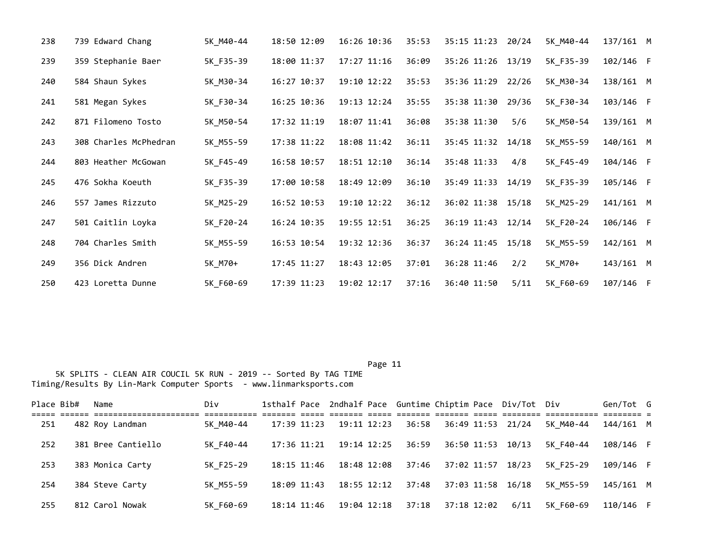| 238 | 739 Edward Chang      | 5K M40-44 | 18:50 12:09 | 16:26 10:36 | 35:53 | 35:15 11:23       | 20/24 | 5K M40-44 | $137/161$ M |  |
|-----|-----------------------|-----------|-------------|-------------|-------|-------------------|-------|-----------|-------------|--|
| 239 | 359 Stephanie Baer    | 5K F35-39 | 18:00 11:37 | 17:27 11:16 | 36:09 | 35:26 11:26 13/19 |       | 5K F35-39 | 102/146 F   |  |
| 240 | 584 Shaun Sykes       | 5K M30-34 | 16:27 10:37 | 19:10 12:22 | 35:53 | 35:36 11:29       | 22/26 | 5K M30-34 | 138/161 M   |  |
| 241 | 581 Megan Sykes       | 5K_F30-34 | 16:25 10:36 | 19:13 12:24 | 35:55 | 35:38 11:30       | 29/36 | 5K F30-34 | 103/146 F   |  |
| 242 | 871 Filomeno Tosto    | 5K_M50-54 | 17:32 11:19 | 18:07 11:41 | 36:08 | 35:38 11:30       | 5/6   | 5K M50-54 | 139/161 M   |  |
| 243 | 308 Charles McPhedran | 5K_M55-59 | 17:38 11:22 | 18:08 11:42 | 36:11 | 35:45 11:32 14/18 |       | 5K M55-59 | 140/161 M   |  |
| 244 | 803 Heather McGowan   | 5K_F45-49 | 16:58 10:57 | 18:51 12:10 | 36:14 | 35:48 11:33       | 4/8   | 5K F45-49 | 104/146 F   |  |
| 245 | 476 Sokha Koeuth      | 5K_F35-39 | 17:00 10:58 | 18:49 12:09 | 36:10 | 35:49 11:33       | 14/19 | 5K_F35-39 | 105/146 F   |  |
| 246 | 557 James Rizzuto     | 5K_M25-29 | 16:52 10:53 | 19:10 12:22 | 36:12 | 36:02 11:38 15/18 |       | 5K M25-29 | 141/161 M   |  |
| 247 | 501 Caitlin Loyka     | 5K_F20-24 | 16:24 10:35 | 19:55 12:51 | 36:25 | 36:19 11:43       | 12/14 | 5K F20-24 | 106/146 F   |  |
| 248 | 704 Charles Smith     | 5K M55-59 | 16:53 10:54 | 19:32 12:36 | 36:37 | 36:24 11:45       | 15/18 | 5K M55-59 | 142/161 M   |  |
| 249 | 356 Dick Andren       | 5K_M70+   | 17:45 11:27 | 18:43 12:05 | 37:01 | 36:28 11:46       | 2/2   | 5K M70+   | 143/161 M   |  |
| 250 | 423 Loretta Dunne     | 5K F60-69 | 17:39 11:23 | 19:02 12:17 | 37:16 | 36:40 11:50       | 5/11  | 5K_F60-69 | 107/146 F   |  |

| Place Bib# | Name               | Div       |                 |                 |       |             | 1sthalf Pace 2ndhalf Pace Guntime Chiptim Pace Div/Tot Div |           | Gen/Tot G |  |
|------------|--------------------|-----------|-----------------|-----------------|-------|-------------|------------------------------------------------------------|-----------|-----------|--|
| 251        | 482 Roy Landman    | 5K M40-44 | 17:39 11:23     | 19:11 12:23     | 36:58 |             | 36:49 11:53 21/24                                          | 5K M40-44 | 144/161 M |  |
| 252        | 381 Bree Cantiello | 5K F40-44 | $17:36$ $11:21$ | 19:14 12:25     | 36:59 |             | 36:50 11:53 10/13                                          | 5K F40-44 | 108/146 F |  |
| 253        | 383 Monica Carty   | 5K F25-29 | 18:15 11:46     | 18:48 12:08     | 37:46 | 37:02 11:57 | 18/23                                                      | 5K F25-29 | 109/146 F |  |
| 254        | 384 Steve Carty    | 5K M55-59 | $18:09$ $11:43$ | $18:55$ $12:12$ | 37:48 |             | 37:03 11:58 16/18                                          | 5K M55-59 | 145/161 M |  |
| 255        | 812 Carol Nowak    | 5K F60-69 | 18:14 11:46     | 19:04 12:18     | 37:18 | 37:18 12:02 | 6/11                                                       | 5K F60-69 | 110/146 F |  |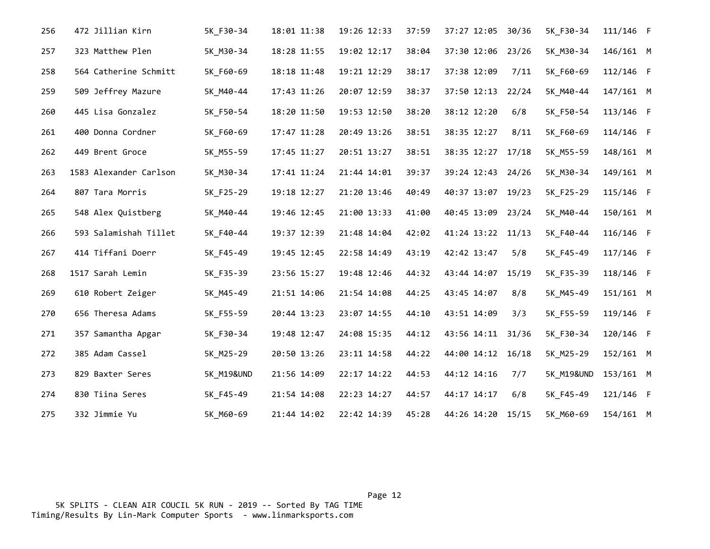| 256 | 472 Jillian Kirn       | 5K F30-34             | 18:01 11:38 | 19:26 12:33 | 37:59 | 37:27 12:05       | 30/36 | 5K_F30-34             | 111/146 F   |  |
|-----|------------------------|-----------------------|-------------|-------------|-------|-------------------|-------|-----------------------|-------------|--|
| 257 | 323 Matthew Plen       | 5K M30-34             | 18:28 11:55 | 19:02 12:17 | 38:04 | 37:30 12:06       | 23/26 | 5K M30-34             | 146/161 M   |  |
| 258 | 564 Catherine Schmitt  | 5K F60-69             | 18:18 11:48 | 19:21 12:29 | 38:17 | 37:38 12:09       | 7/11  | 5K_F60-69             | 112/146 F   |  |
| 259 | 509 Jeffrey Mazure     | 5K M40-44             | 17:43 11:26 | 20:07 12:59 | 38:37 | 37:50 12:13       | 22/24 | 5K M40-44             | $147/161$ M |  |
| 260 | 445 Lisa Gonzalez      | 5K F50-54             | 18:20 11:50 | 19:53 12:50 | 38:20 | 38:12 12:20       | 6/8   | 5K F50-54             | 113/146 F   |  |
| 261 | 400 Donna Cordner      | 5K F60-69             | 17:47 11:28 | 20:49 13:26 | 38:51 | 38:35 12:27       | 8/11  | 5K F60-69             | 114/146 F   |  |
| 262 | 449 Brent Groce        | 5K_M55-59             | 17:45 11:27 | 20:51 13:27 | 38:51 | 38:35 12:27       | 17/18 | 5K_M55-59             | 148/161 M   |  |
| 263 | 1583 Alexander Carlson | 5K_M30-34             | 17:41 11:24 | 21:44 14:01 | 39:37 | 39:24 12:43 24/26 |       | 5K_M30-34             | 149/161 M   |  |
| 264 | 807 Tara Morris        | 5K_F25-29             | 19:18 12:27 | 21:20 13:46 | 40:49 | 40:37 13:07       | 19/23 | 5K_F25-29             | 115/146 F   |  |
| 265 | 548 Alex Quistberg     | 5K_M40-44             | 19:46 12:45 | 21:00 13:33 | 41:00 | 40:45 13:09 23/24 |       | 5K M40-44             | 150/161 M   |  |
| 266 | 593 Salamishah Tillet  | 5K F40-44             | 19:37 12:39 | 21:48 14:04 | 42:02 | 41:24 13:22 11/13 |       | 5K F40-44             | 116/146 F   |  |
| 267 | 414 Tiffani Doerr      | 5K F45-49             | 19:45 12:45 | 22:58 14:49 | 43:19 | 42:42 13:47       | 5/8   | 5K F45-49             | 117/146 F   |  |
| 268 | 1517 Sarah Lemin       | 5K F35-39             | 23:56 15:27 | 19:48 12:46 | 44:32 | 43:44 14:07       | 15/19 | 5K F35-39             | 118/146 F   |  |
| 269 | 610 Robert Zeiger      | 5K M45-49             | 21:51 14:06 | 21:54 14:08 | 44:25 | 43:45 14:07       | 8/8   | 5K M45-49             | $151/161$ M |  |
| 270 | 656 Theresa Adams      | 5K F55-59             | 20:44 13:23 | 23:07 14:55 | 44:10 | 43:51 14:09       | 3/3   | 5K F55-59             | 119/146 F   |  |
| 271 | 357 Samantha Apgar     | 5K F30-34             | 19:48 12:47 | 24:08 15:35 | 44:12 | 43:56 14:11       | 31/36 | 5K F30-34             | 120/146 F   |  |
| 272 | 385 Adam Cassel        | 5K M25-29             | 20:50 13:26 | 23:11 14:58 | 44:22 | 44:00 14:12       | 16/18 | 5K M25-29             | 152/161 M   |  |
| 273 | 829 Baxter Seres       | <b>5K M19&amp;UND</b> | 21:56 14:09 | 22:17 14:22 | 44:53 | 44:12 14:16       | 7/7   | <b>5K M19&amp;UND</b> | 153/161 M   |  |
| 274 | 830 Tiina Seres        | 5K_F45-49             | 21:54 14:08 | 22:23 14:27 | 44:57 | 44:17 14:17       | 6/8   | 5K F45-49             | 121/146 F   |  |
| 275 | 332 Jimmie Yu          | 5K M60-69             | 21:44 14:02 | 22:42 14:39 | 45:28 | 44:26 14:20 15/15 |       | 5K_M60-69             | 154/161 M   |  |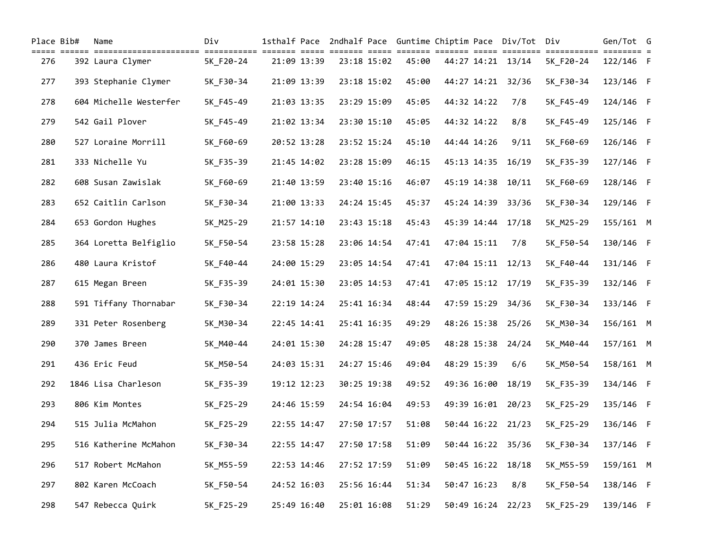| Place Bib# | Name                   | Div       |             |             |       |             |             | 1sthalf Pace 2ndhalf Pace Guntime Chiptim Pace Div/Tot Div |                                      | Gen/Tot G |  |
|------------|------------------------|-----------|-------------|-------------|-------|-------------|-------------|------------------------------------------------------------|--------------------------------------|-----------|--|
| 276        | 392 Laura Clymer       | 5K F20-24 | 21:09 13:39 | 23:18 15:02 | 45:00 |             |             | 44:27 14:21 13/14                                          | ============ ======== =<br>5K F20-24 | 122/146 F |  |
| 277        | 393 Stephanie Clymer   | 5K F30-34 | 21:09 13:39 | 23:18 15:02 | 45:00 |             | 44:27 14:21 | 32/36                                                      | 5K_F30-34                            | 123/146 F |  |
| 278        | 604 Michelle Westerfer | 5K F45-49 | 21:03 13:35 | 23:29 15:09 | 45:05 | 44:32 14:22 |             | 7/8                                                        | 5K_F45-49                            | 124/146 F |  |
| 279        | 542 Gail Plover        | 5K F45-49 | 21:02 13:34 | 23:30 15:10 | 45:05 | 44:32 14:22 |             | 8/8                                                        | 5K_F45-49                            | 125/146 F |  |
| 280        | 527 Loraine Morrill    | 5K F60-69 | 20:52 13:28 | 23:52 15:24 | 45:10 | 44:44 14:26 |             | 9/11                                                       | 5K_F60-69                            | 126/146 F |  |
| 281        | 333 Nichelle Yu        | 5K_F35-39 | 21:45 14:02 | 23:28 15:09 | 46:15 | 45:13 14:35 |             | 16/19                                                      | 5K_F35-39                            | 127/146 F |  |
| 282        | 608 Susan Zawislak     | 5K F60-69 | 21:40 13:59 | 23:40 15:16 | 46:07 | 45:19 14:38 |             | 10/11                                                      | 5K_F60-69                            | 128/146 F |  |
| 283        | 652 Caitlin Carlson    | 5K_F30-34 | 21:00 13:33 | 24:24 15:45 | 45:37 | 45:24 14:39 |             | 33/36                                                      | 5K_F30-34                            | 129/146 F |  |
| 284        | 653 Gordon Hughes      | 5K_M25-29 | 21:57 14:10 | 23:43 15:18 | 45:43 |             | 45:39 14:44 | 17/18                                                      | 5K_M25-29                            | 155/161 M |  |
| 285        | 364 Loretta Belfiglio  | 5K F50-54 | 23:58 15:28 | 23:06 14:54 | 47:41 |             | 47:04 15:11 | 7/8                                                        | 5K F50-54                            | 130/146 F |  |
| 286        | 480 Laura Kristof      | 5K F40-44 | 24:00 15:29 | 23:05 14:54 | 47:41 |             |             | 47:04 15:11 12/13                                          | 5K F40-44                            | 131/146 F |  |
| 287        | 615 Megan Breen        | 5K F35-39 | 24:01 15:30 | 23:05 14:53 | 47:41 |             |             | 47:05 15:12 17/19                                          | 5K_F35-39                            | 132/146 F |  |
| 288        | 591 Tiffany Thornabar  | 5K F30-34 | 22:19 14:24 | 25:41 16:34 | 48:44 |             | 47:59 15:29 | 34/36                                                      | 5K_F30-34                            | 133/146 F |  |
| 289        | 331 Peter Rosenberg    | 5K_M30-34 | 22:45 14:41 | 25:41 16:35 | 49:29 |             | 48:26 15:38 | 25/26                                                      | 5K_M30-34                            | 156/161 M |  |
| 290        | 370 James Breen        | 5K M40-44 | 24:01 15:30 | 24:28 15:47 | 49:05 |             |             | 48:28 15:38 24/24                                          | 5K_M40-44                            | 157/161 M |  |
| 291        | 436 Eric Feud          | 5K_M50-54 | 24:03 15:31 | 24:27 15:46 | 49:04 | 48:29 15:39 |             | 6/6                                                        | 5K_M50-54                            | 158/161 M |  |
| 292        | 1846 Lisa Charleson    | 5K F35-39 | 19:12 12:23 | 30:25 19:38 | 49:52 |             | 49:36 16:00 | 18/19                                                      | 5K F35-39                            | 134/146 F |  |
| 293        | 806 Kim Montes         | 5K F25-29 | 24:46 15:59 | 24:54 16:04 | 49:53 |             |             | 49:39 16:01 20/23                                          | 5K_F25-29                            | 135/146 F |  |
| 294        | 515 Julia McMahon      | 5K_F25-29 | 22:55 14:47 | 27:50 17:57 | 51:08 |             |             | 50:44 16:22 21/23                                          | 5K_F25-29                            | 136/146 F |  |
| 295        | 516 Katherine McMahon  | 5K_F30-34 | 22:55 14:47 | 27:50 17:58 | 51:09 |             |             | 50:44 16:22 35/36                                          | 5K_F30-34                            | 137/146 F |  |
| 296        | 517 Robert McMahon     | 5K M55-59 | 22:53 14:46 | 27:52 17:59 | 51:09 |             | 50:45 16:22 | 18/18                                                      | 5K_M55-59                            | 159/161 M |  |
| 297        | 802 Karen McCoach      | 5K_F50-54 | 24:52 16:03 | 25:56 16:44 | 51:34 |             | 50:47 16:23 | 8/8                                                        | 5K F50-54                            | 138/146 F |  |
| 298        | 547 Rebecca Quirk      | 5K F25-29 | 25:49 16:40 | 25:01 16:08 | 51:29 |             |             | 50:49 16:24 22/23                                          | 5K_F25-29                            | 139/146 F |  |